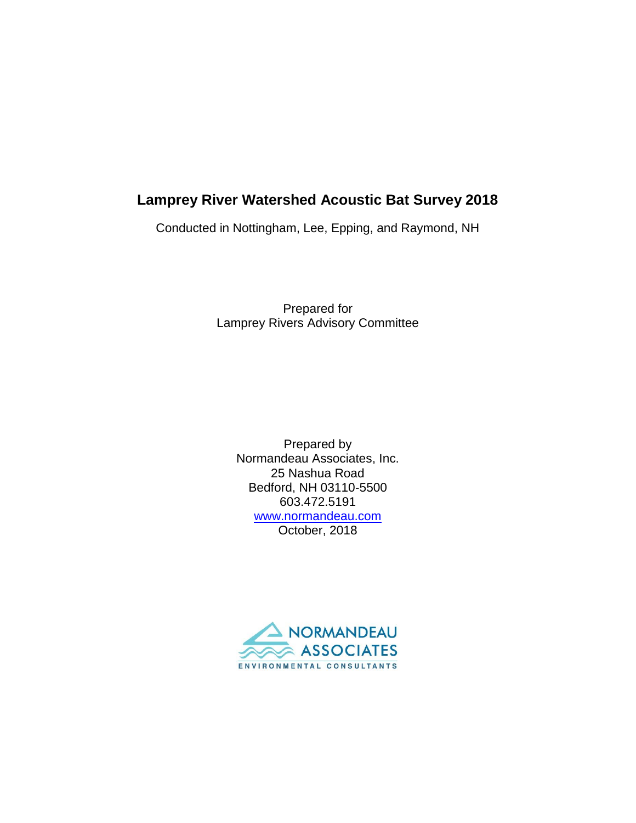# **Lamprey River Watershed Acoustic Bat Survey 2018**

Conducted in Nottingham, Lee, Epping, and Raymond, NH

Prepared for Lamprey Rivers Advisory Committee

Prepared by Normandeau Associates, Inc. 25 Nashua Road Bedford, NH 03110-5500 603.472.5191 [www.normandeau.com](http://www.normandeau.com/) October, 2018

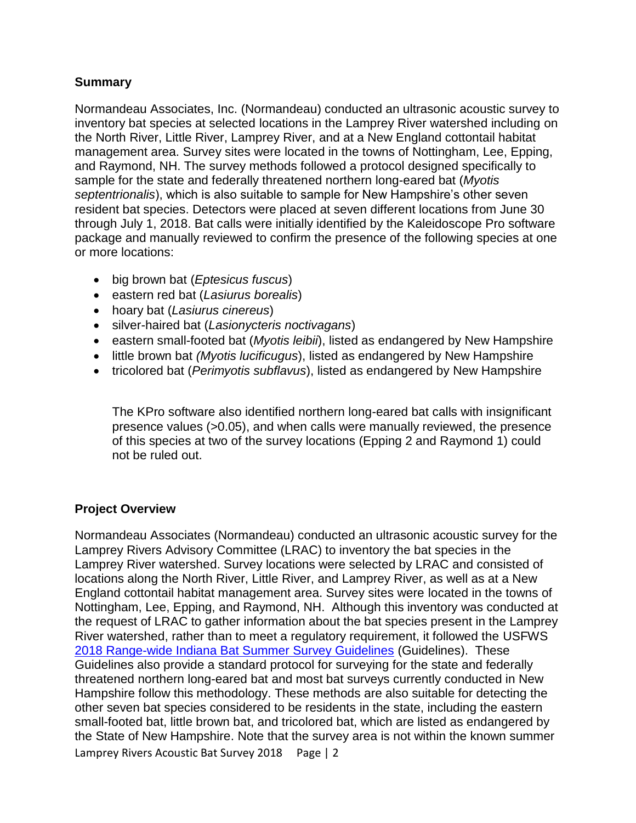# **Summary**

Normandeau Associates, Inc. (Normandeau) conducted an ultrasonic acoustic survey to inventory bat species at selected locations in the Lamprey River watershed including on the North River, Little River, Lamprey River, and at a New England cottontail habitat management area. Survey sites were located in the towns of Nottingham, Lee, Epping, and Raymond, NH. The survey methods followed a protocol designed specifically to sample for the state and federally threatened northern long-eared bat (*Myotis septentrionalis*), which is also suitable to sample for New Hampshire's other seven resident bat species. Detectors were placed at seven different locations from June 30 through July 1, 2018. Bat calls were initially identified by the Kaleidoscope Pro software package and manually reviewed to confirm the presence of the following species at one or more locations:

- big brown bat (*Eptesicus fuscus*)
- eastern red bat (*Lasiurus borealis*)
- hoary bat (*Lasiurus cinereus*)
- silver-haired bat (*Lasionycteris noctivagans*)
- eastern small-footed bat (*Myotis leibii*), listed as endangered by New Hampshire
- little brown bat *(Myotis lucificugus*), listed as endangered by New Hampshire
- tricolored bat (*Perimyotis subflavus*), listed as endangered by New Hampshire

The KPro software also identified northern long-eared bat calls with insignificant presence values (>0.05), and when calls were manually reviewed, the presence of this species at two of the survey locations (Epping 2 and Raymond 1) could not be ruled out.

### **Project Overview**

Lamprey Rivers Acoustic Bat Survey 2018 Page | 2 Normandeau Associates (Normandeau) conducted an ultrasonic acoustic survey for the Lamprey Rivers Advisory Committee (LRAC) to inventory the bat species in the Lamprey River watershed. Survey locations were selected by LRAC and consisted of locations along the North River, Little River, and Lamprey River, as well as at a New England cottontail habitat management area. Survey sites were located in the towns of Nottingham, Lee, Epping, and Raymond, NH. Although this inventory was conducted at the request of LRAC to gather information about the bat species present in the Lamprey River watershed, rather than to meet a regulatory requirement, it followed the USFWS [2018 Range-wide Indiana Bat Summer Survey Guidelines](https://www.fws.gov/midwest/endangered/mammals/inba/surveys/pdf/2018RangewideIBatSurveyGuidelines.pdf) (Guidelines). These Guidelines also provide a standard protocol for surveying for the state and federally threatened northern long-eared bat and most bat surveys currently conducted in New Hampshire follow this methodology. These methods are also suitable for detecting the other seven bat species considered to be residents in the state, including the eastern small-footed bat, little brown bat, and tricolored bat, which are listed as endangered by the State of New Hampshire. Note that the survey area is not within the known summer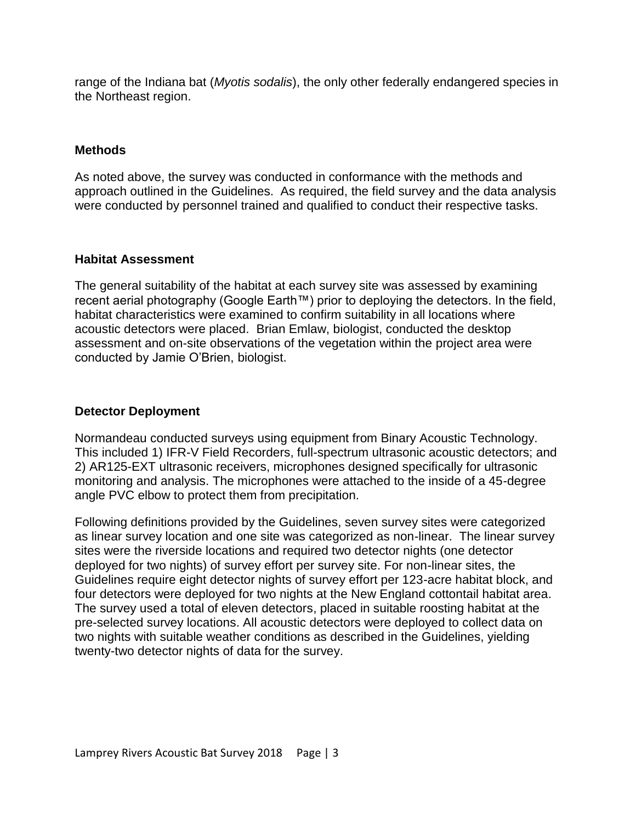range of the Indiana bat (*Myotis sodalis*), the only other federally endangered species in the Northeast region.

### **Methods**

As noted above, the survey was conducted in conformance with the methods and approach outlined in the Guidelines. As required, the field survey and the data analysis were conducted by personnel trained and qualified to conduct their respective tasks.

### **Habitat Assessment**

The general suitability of the habitat at each survey site was assessed by examining recent aerial photography (Google Earth™) prior to deploying the detectors. In the field, habitat characteristics were examined to confirm suitability in all locations where acoustic detectors were placed. Brian Emlaw, biologist, conducted the desktop assessment and on-site observations of the vegetation within the project area were conducted by Jamie O'Brien, biologist.

# **Detector Deployment**

Normandeau conducted surveys using equipment from Binary Acoustic Technology. This included 1) IFR-V Field Recorders, full-spectrum ultrasonic acoustic detectors; and 2) AR125-EXT ultrasonic receivers, microphones designed specifically for ultrasonic monitoring and analysis. The microphones were attached to the inside of a 45-degree angle PVC elbow to protect them from precipitation.

Following definitions provided by the Guidelines, seven survey sites were categorized as linear survey location and one site was categorized as non-linear. The linear survey sites were the riverside locations and required two detector nights (one detector deployed for two nights) of survey effort per survey site. For non-linear sites, the Guidelines require eight detector nights of survey effort per 123-acre habitat block, and four detectors were deployed for two nights at the New England cottontail habitat area. The survey used a total of eleven detectors, placed in suitable roosting habitat at the pre-selected survey locations. All acoustic detectors were deployed to collect data on two nights with suitable weather conditions as described in the Guidelines, yielding twenty-two detector nights of data for the survey.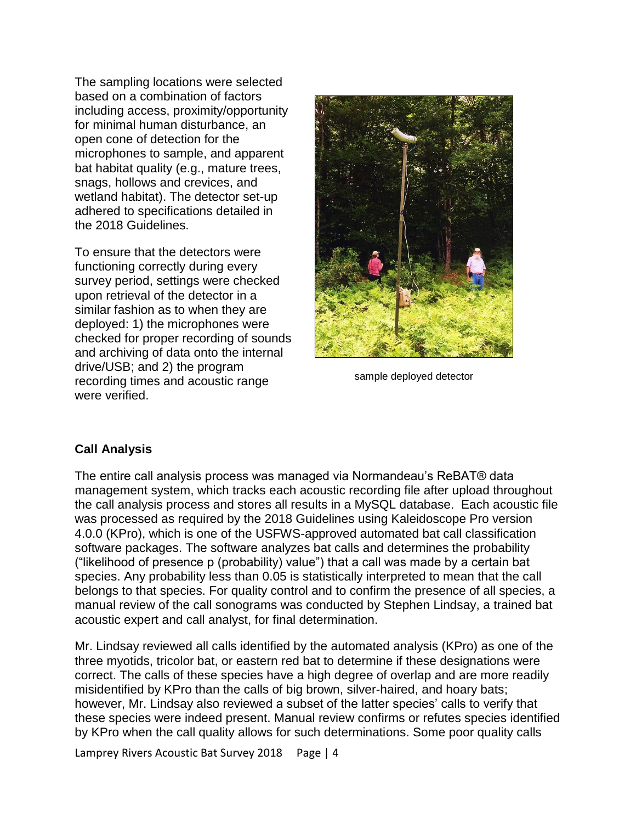The sampling locations were selected based on a combination of factors including access, proximity/opportunity for minimal human disturbance, an open cone of detection for the microphones to sample, and apparent bat habitat quality (e.g., mature trees, snags, hollows and crevices, and wetland habitat). The detector set-up adhered to specifications detailed in the 2018 Guidelines.

To ensure that the detectors were functioning correctly during every survey period, settings were checked upon retrieval of the detector in a similar fashion as to when they are deployed: 1) the microphones were checked for proper recording of sounds and archiving of data onto the internal drive/USB; and 2) the program recording times and acoustic range were verified.



sample deployed detector

# **Call Analysis**

The entire call analysis process was managed via Normandeau's ReBAT® data management system, which tracks each acoustic recording file after upload throughout the call analysis process and stores all results in a MySQL database. Each acoustic file was processed as required by the 2018 Guidelines using Kaleidoscope Pro version 4.0.0 (KPro), which is one of the USFWS-approved automated bat call classification software packages. The software analyzes bat calls and determines the probability ("likelihood of presence p (probability) value") that a call was made by a certain bat species. Any probability less than 0.05 is statistically interpreted to mean that the call belongs to that species. For quality control and to confirm the presence of all species, a manual review of the call sonograms was conducted by Stephen Lindsay, a trained bat acoustic expert and call analyst, for final determination.

Mr. Lindsay reviewed all calls identified by the automated analysis (KPro) as one of the three myotids, tricolor bat, or eastern red bat to determine if these designations were correct. The calls of these species have a high degree of overlap and are more readily misidentified by KPro than the calls of big brown, silver-haired, and hoary bats; however, Mr. Lindsay also reviewed a subset of the latter species' calls to verify that these species were indeed present. Manual review confirms or refutes species identified by KPro when the call quality allows for such determinations. Some poor quality calls

Lamprey Rivers Acoustic Bat Survey 2018 Page | 4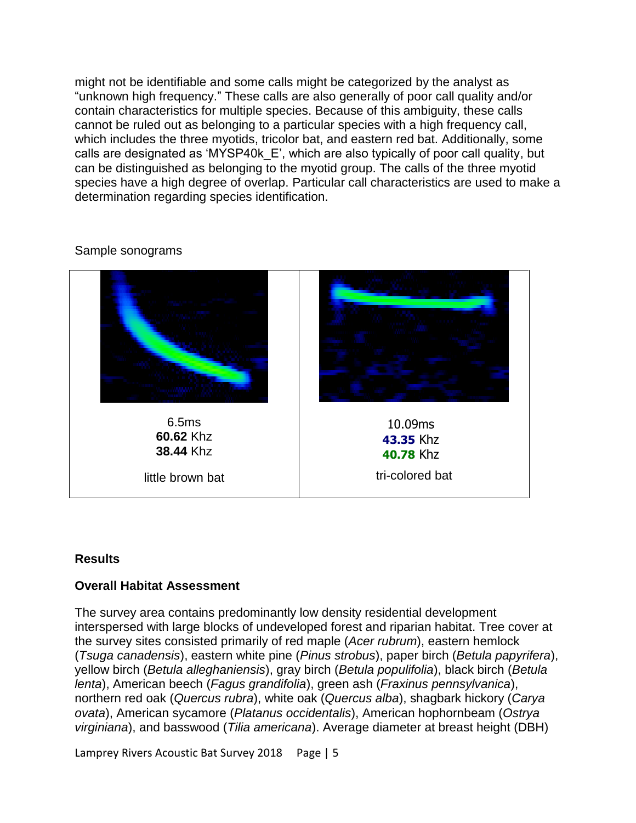might not be identifiable and some calls might be categorized by the analyst as "unknown high frequency." These calls are also generally of poor call quality and/or contain characteristics for multiple species. Because of this ambiguity, these calls cannot be ruled out as belonging to a particular species with a high frequency call, which includes the three myotids, tricolor bat, and eastern red bat. Additionally, some calls are designated as 'MYSP40k\_E', which are also typically of poor call quality, but can be distinguished as belonging to the myotid group. The calls of the three myotid species have a high degree of overlap. Particular call characteristics are used to make a determination regarding species identification.

# 6.5ms **60.62** Khz **38.44** Khz little brown bat tri-colored bat 10.09ms **43.35** Khz **40.78** Khz

### Sample sonograms

### **Results**

# **Overall Habitat Assessment**

The survey area contains predominantly low density residential development interspersed with large blocks of undeveloped forest and riparian habitat. Tree cover at the survey sites consisted primarily of red maple (*Acer rubrum*), eastern hemlock (*Tsuga canadensis*), eastern white pine (*Pinus strobus*), paper birch (*Betula papyrifera*), yellow birch (*Betula alleghaniensis*), gray birch (*Betula populifolia*), black birch (*Betula lenta*), American beech (*Fagus grandifolia*), green ash (*Fraxinus pennsylvanica*), northern red oak (*Quercus rubra*), white oak (*Quercus alba*), shagbark hickory (*Carya ovata*), American sycamore (*Platanus occidentalis*), American hophornbeam (*Ostrya virginiana*), and basswood (*Tilia americana*). Average diameter at breast height (DBH)

Lamprey Rivers Acoustic Bat Survey 2018 Page | 5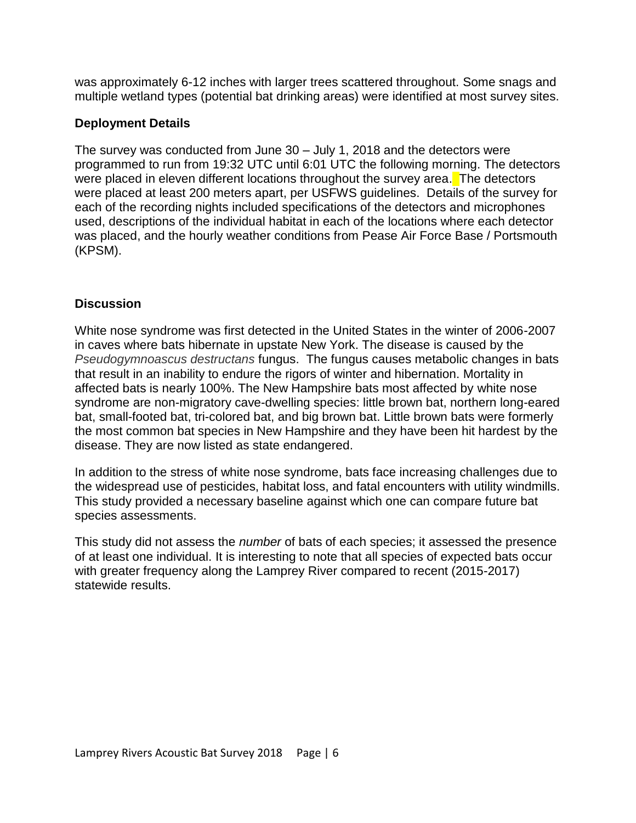was approximately 6-12 inches with larger trees scattered throughout. Some snags and multiple wetland types (potential bat drinking areas) were identified at most survey sites.

# **Deployment Details**

The survey was conducted from June 30 – July 1, 2018 and the detectors were programmed to run from 19:32 UTC until 6:01 UTC the following morning. The detectors were placed in eleven different locations throughout the survey area. The detectors were placed at least 200 meters apart, per USFWS guidelines. Details of the survey for each of the recording nights included specifications of the detectors and microphones used, descriptions of the individual habitat in each of the locations where each detector was placed, and the hourly weather conditions from Pease Air Force Base / Portsmouth (KPSM).

# **Discussion**

White nose syndrome was first detected in the United States in the winter of 2006-2007 in caves where bats hibernate in upstate New York. The disease is caused by the *Pseudogymnoascus destructans* fungus. The fungus causes metabolic changes in bats that result in an inability to endure the rigors of winter and hibernation. Mortality in affected bats is nearly 100%. The New Hampshire bats most affected by white nose syndrome are non-migratory cave-dwelling species: little brown bat, northern long-eared bat, small-footed bat, tri-colored bat, and big brown bat. Little brown bats were formerly the most common bat species in New Hampshire and they have been hit hardest by the disease. They are now listed as state endangered.

In addition to the stress of white nose syndrome, bats face increasing challenges due to the widespread use of pesticides, habitat loss, and fatal encounters with utility windmills. This study provided a necessary baseline against which one can compare future bat species assessments.

This study did not assess the *number* of bats of each species; it assessed the presence of at least one individual. It is interesting to note that all species of expected bats occur with greater frequency along the Lamprey River compared to recent (2015-2017) statewide results.